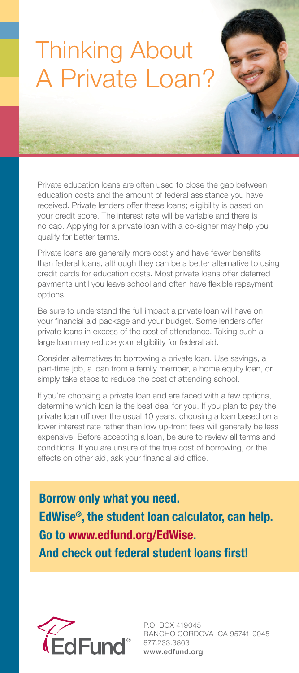# Thinking About A Private Loan?

Private education loans are often used to close the gap between education costs and the amount of federal assistance you have received. Private lenders offer these loans; eligibility is based on your credit score. The interest rate will be variable and there is no cap. Applying for a private loan with a co-signer may help you qualify for better terms.

Private loans are generally more costly and have fewer benefits than federal loans, although they can be a better alternative to using credit cards for education costs. Most private loans offer deferred payments until you leave school and often have flexible repayment options.

Be sure to understand the full impact a private loan will have on your financial aid package and your budget. Some lenders offer private loans in excess of the cost of attendance. Taking such a large loan may reduce your eligibility for federal aid.

Consider alternatives to borrowing a private loan. Use savings, a part-time job, a loan from a family member, a home equity loan, or simply take steps to reduce the cost of attending school.

If you're choosing a private loan and are faced with a few options, determine which loan is the best deal for you. If you plan to pay the private loan off over the usual 10 years, choosing a loan based on a lower interest rate rather than low up-front fees will generally be less expensive. Before accepting a loan, be sure to review all terms and conditions. If you are unsure of the true cost of borrowing, or the effects on other aid, ask your financial aid office.

Borrow only what you need. EdWise®, the student loan calculator, can help. Go to www.edfund.org/EdWise.

And check out federal student loans first!



P.O. BOX 419045 RANCHO CORDOVA CA 95741-9045 877.233.3863 www.edfund.org